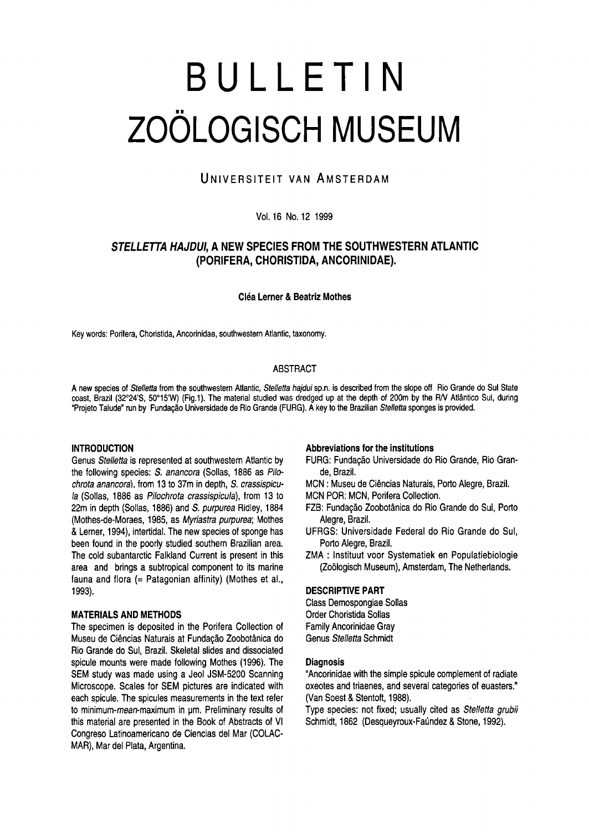# Bulletin Zoölogisch Museum

# UNIVERSITEIT VAN AMSTERDAM

## Vol.16 No. 12 1999

# Stelletta hajdui, <sup>a</sup> new species from the southwestern Atlantic (Porifera, Choristida, Ancorinidae)

#### **Cléa Lerner & Beatriz Mothes**

Key words: Porifera, Choristida, Ancorinidae, southwestern Atlantic, taxonomy.

## **ABSTRACT**

A new species of Stelletta from the southwestern Atlantic, Stelletta hajdui sp.n. is described from the slope off Rio Grande do Sul State coast, Brazil (32°24'S, 50°15'W) (Fig.1). The material studied was dredged up at the depth of 200m by the R/V Atlântico Sul, during "Projeto Talude" run by Fundação Universidade de Rio Grande (FURG). A key to the Brazilian Stelletta sponges is provided.

# **INTRODUCTION**

Genus Stelletta is represented at southwestern Atlantic by the following species: S. anancora (Sollas, 1886 as Pilochrota anancora), from 13 to 37m in depth, S. crassispicula (Sollas, 1886 as Pilochrota crassispicula), from 13 to 22m in depth (Sollas, 1886) and S. purpurea Ridley, 1884 (Mothes-de-Moraes, 1985, as Myriastra purpurea; Mothes & Lemer, 1994), intertidal.The new species of sponge has been found in the poorly studied southern Brazilian area. The cold subantarctic Falkland Current is present in this area and brings a subtropical component to its marine fauna and flora (= Patagonian affinity) (Mothes et al., 1993).

# MATERIALS AND METHODS

The specimen is deposited in the Porifera Collection of Museu de Ciências Naturais at Fundação Zoobotânica do Rio Grande do Sul, Brazil. Skeletal slides and dissociated spicule mounts were made following Mothes (1996). The SEM study was made using <sup>a</sup> Jeol JSM-5200 Scanning Microscope. Scales for SEM pictures are indicated with each spicule. The spicules measurements in the text refer to minimum-mean-maximum in um. Preliminary results of this material are presented in the Book of Abstracts of VI Congreso Latinoamericano de Ciencias del Mar (COLAC-MAR), Mar del Plata, Argentina.

#### Abbreviations for the institutions

- FURG: Fundagao Universidade do Rio Grande, Rio Grande, Brazil.
- MCN : Museu de Ciencias Naturais, Porto Alegre, Brazil.
- MCN POR: MCN, Porifera Collection.
- FZB: Fundagao Zoobotanica do Rio Grande do Sul, Porto Alegre, Brazil.
- UFRGS: Universidade Federal do Rio Grande do Sul, Porto Alegre, Brazil.
- ZMA : Instituut voor Systematiek en Populatiebiologie (Zoologisch Museum), Amsterdam, The Netherlands.

# DESCRIPTIVE PART

Class Demospongiae Sollas Order Choristida Sollas Family Ancorinidae Gray Genus Stelletta Schmidt

#### **Diagnosis**

"Ancorinidae with the simple spicule complement of radiate oxeotes and triaenes, and several categories of euasters." (Van Soest & Stentoft, 1988).

Type species: not fixed; usually cited as Stelletta grubii Schmidt, 1862 (Desqueyroux-Faundez & Stone, 1992).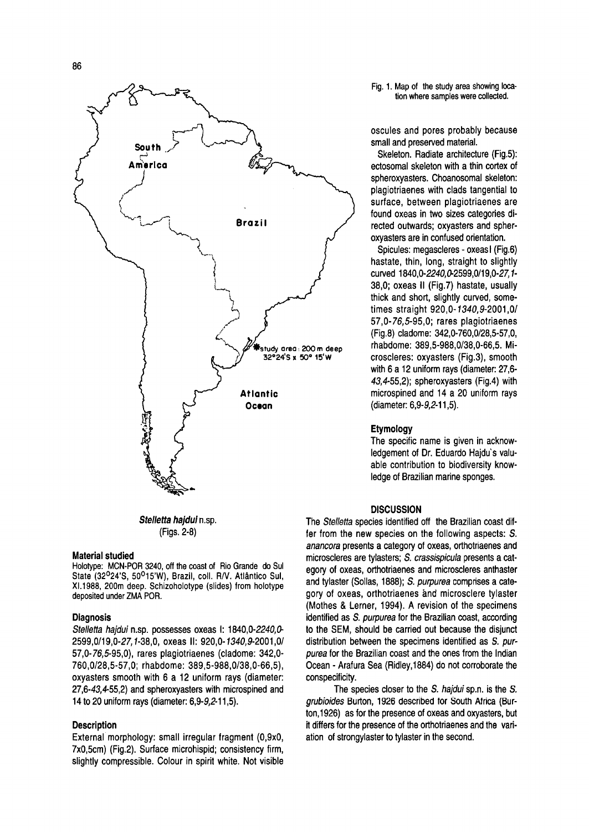

Stelletta hajdui n.sp. (Figs. 2-8)

#### Material studied

Holotype: MCN-POR 3240, off the coast of Rio Grande do Sul State (32°24'S, 50°15'W), Brazil, coll. R/V. Atlantico Sul, XI.1988, 200m deep. Schizoholotype (slides) from holotype deposited under ZMA POR.

#### **Diagnosis**

Stelletta hajdui n.sp. possesses oxeas I: 1840,0-2240,0-2599,0/19,0-27,7-38,0, oxeas II: 920,0-7340,9-2001,0/ 57,0-76,5-95,0), rares plagiotriaenes (cladome: 342,0- 760,0/28,5-57,0; rhabdome: 389,5-988,0/38,0-66,5), oxyasters smooth with <sup>6</sup> <sup>a</sup> <sup>12</sup> uniform rays (diameter: 27,6-43,4-55,2) and spheroxyasters with microspined and <sup>14</sup> to 20 uniform rays (diameter: 6,9-9,2-11,5).

# **Description**

External morphology: small irregular fragment (0,9x0, 7x0,5cm) (Fig.2). Surface microhispid; consistency firm, slightly compressible. Colour in spirit white. Not visible Fig. 1. Map of the study area showing location where samples were collected.

oscules and pores probably because small and preserved material.

Skeleton. Radiate architecture (Fig.5): ectosomal skeleton with a thin cortex of spheroxyasters. Choanosomal skeleton: plagiotriaenes with clads tangential to surface, between plagiotriaenes are found oxeas in two sizes categories directed outwards; oxyasters and spheroxyasters are in confused orientation.

Spicules: megascleres - oxeas I (Fig.6) hastate, thin, long, straight to slightly curved 1840,0-2240,0-2599,0/19,0-27,1- 38,0; oxeas II (Fig.7) hastate, usually thick and short, slightly curved, sometimes straight 920, 0-1340, 9-2001,0/ 57,0-76,5-95,0; rares plagiotriaenes (Fig.8) cladome: 342,0-760,0/28,5-57,0, rhabdome: 389,5-988,0/38,0-66,5. Microscleres: oxyasters (Fig.3), smooth with 6 a 12 uniform rays (diameter: 27,6- 43, 4-55, 2); spheroxyasters (Fig. 4) with microspined and <sup>14</sup> <sup>a</sup> 20 uniform rays (diameter: 6,9-9,2-11,5).

#### Etymology

The specific name is given in acknowledgement of Dr. Eduardo Hajdu's valuable contribution to biodiversity knowledge of Brazilian marine sponges.

#### **DISCUSSION**

The Stelletta species identified off the Brazilian coast differ from the new species on the following aspects: S. anancora presents <sup>a</sup> category of oxeas, orthotriaenes and microscleres are tylasters; S. crassispicula presents a category of oxeas, orthotriaenes and microscleres anthaster and tylaster (Sollas, 1888); S. purpurea comprises a category of oxeas, orthotriaenes and microsclere tylaster (Mothes & Lemer, 1994). A revision of the specimens identified as S. purpurea for the Brazilian coast, according to the SEM, should be carried out because the disjunct distribution between the specimens identified as S. purpurea for the Brazilian coast and the ones from the Indian Ocean - Arafura Sea (Ridley, 1884) do not corroborate the conspecificity.

The species closer to the S. hajdui sp.n. is the S. grubioides Burton, 1926 described for South Africa (Burton, 1926) as for the presence of oxeas and oxyasters, but it differs for the presence of the orthotriaenes and the variation of strongylaster to tylaster in the second.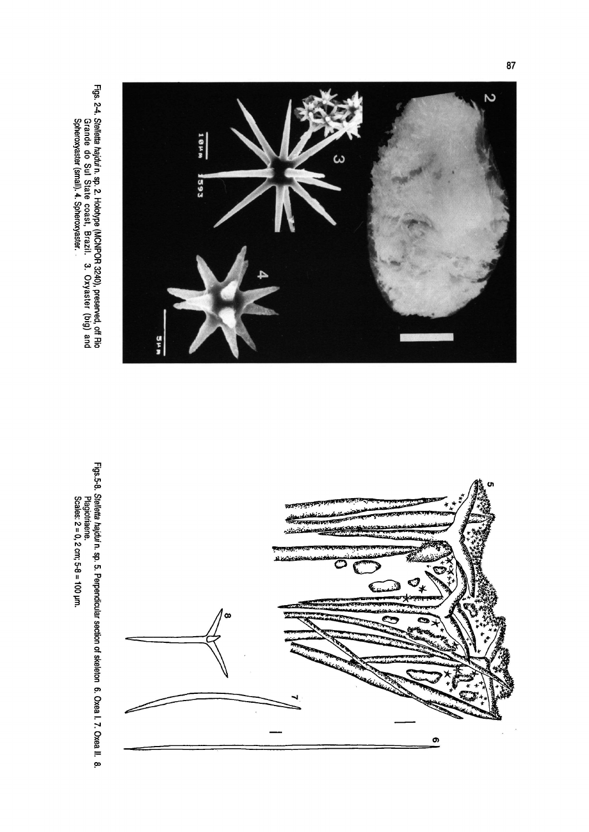





 $\mathbf{r}$ 

8.